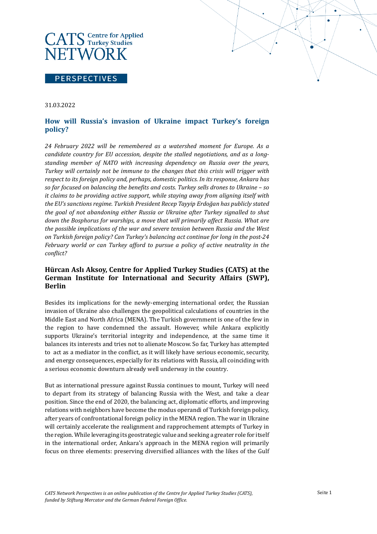# **CATS** Centre for Applied **NETWORK**

#### **PERSPECTIVES**

#### 31.03.2022

# **How will Russia's invasion of Ukraine impact Turkey's foreign policy?**

*24 February 2022 will be remembered as a watershed moment for Europe. As a candidate country for EU accession, despite the stalled negotiations, and as a longstanding member of NATO with increasing dependency on Russia over the years, Turkey will certainly not be immune to the changes that this crisis will trigger with respect to its foreign policy and, perhaps, domestic politics. In its response, Ankara has so far focused on balancing the benefits and costs. Turkey sells drones to Ukraine – so it claims to be providing active support, while staying away from aligning itself with the EU's sanctions regime. Turkish President Recep Tayyip Erdoğan has publicly stated the goal of not abandoning either Russia or Ukraine after Turkey signalled to shut down the Bosphorus for warships, a move that will primarily affect Russia. What are the possible implications of the war and severe tension between Russia and the West on Turkish foreign policy? Can Turkey's balancing act continue for long in the post-24 February world or can Turkey afford to pursue a policy of active neutrality in the conflict?* 

## **Hürcan Aslı Aksoy, Centre for Applied Turkey Studies (CATS) at the German Institute for International and Security Affairs (SWP), Berlin**

Besides its implications for the newly-emerging international order, the Russian invasion of Ukraine also challenges the geopolitical calculations of countries in the Middle East and North Africa (MENA). The Turkish government is one of the few in the region to have condemned the assault. However, while Ankara explicitly supports Ukraine's territorial integrity and independence, at the same time it balances its interests and tries not to alienate Moscow. So far, Turkey has attempted to act as a mediator in the conflict, as it will likely have serious economic, security, and energy consequences, especially for its relations with Russia, all coinciding with a serious economic downturn already well underway in the country.

But as international pressure against Russia continues to mount, Turkey will need to depart from its strategy of balancing Russia with the West, and take a clear position. Since the end of 2020, the balancing act, diplomatic efforts, and improving relations with neighbors have become the modus operandi of Turkish foreign policy, after years of confrontational foreign policy in the MENA region. The war in Ukraine will certainly accelerate the realignment and rapprochement attempts of Turkey in the region. While leveraging its geostrategic value and seeking a greater role for itself in the international order, Ankara's approach in the MENA region will primarily focus on three elements: preserving diversified alliances with the likes of the Gulf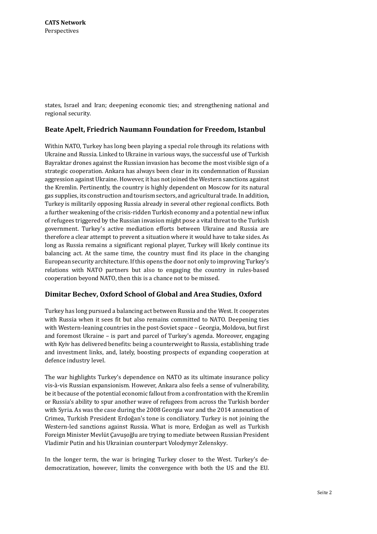states, Israel and Iran; deepening economic ties; and strengthening national and regional security.

#### **Beate Apelt, Friedrich Naumann Foundation for Freedom, Istanbul**

Within NATO, Turkey has long been playing a special role through its relations with Ukraine and Russia. Linked to Ukraine in various ways, the successful use of Turkish Bayraktar drones against the Russian invasion has become the most visible sign of a strategic cooperation. Ankara has always been clear in its condemnation of Russian aggression against Ukraine. However, it has not joined the Western sanctions against the Kremlin. Pertinently, the country is highly dependent on Moscow for its natural gas supplies, its construction and tourism sectors, and agricultural trade. In addition, Turkey is militarily opposing Russia already in several other regional conflicts. Both a further weakening of the crisis-ridden Turkish economy and a potential new influx of refugees triggered by the Russian invasion might pose a vital threat to the Turkish government. Turkey's active mediation efforts between Ukraine and Russia are therefore a clear attempt to prevent a situation where it would have to take sides. As long as Russia remains a significant regional player, Turkey will likely continue its balancing act. At the same time, the country must find its place in the changing European security architecture. If this opens the door not only to improving Turkey's relations with NATO partners but also to engaging the country in rules-based cooperation beyond NATO, then this is a chance not to be missed.

## **Dimitar Bechev, Oxford School of Global and Area Studies, Oxford**

Turkey has long pursued a balancing act between Russia and the West. It cooperates with Russia when it sees fit but also remains committed to NATO. Deepening ties with Western-leaning countries in the post-Soviet space – Georgia, Moldova, but first and foremost Ukraine – is part and parcel of Turkey's agenda. Moreover, engaging with Kyiv has delivered benefits: being a counterweight to Russia, establishing trade and investment links, and, lately, boosting prospects of expanding cooperation at defence industry level.

The war highlights Turkey's dependence on NATO as its ultimate insurance policy vis-à-vis Russian expansionism. However, Ankara also feels a sense of vulnerability, be it because of the potential economic fallout from a confrontation with the Kremlin or Russia's ability to spur another wave of refugees from across the Turkish border with Syria. As was the case during the 2008 Georgia war and the 2014 annexation of Crimea, Turkish President Erdoğan's tone is conciliatory. Turkey is not joining the Western-led sanctions against Russia. What is more, Erdoğan as well as Turkish Foreign Minister Mevlüt Çavuşoğlu are trying to mediate between Russian President Vladimir Putin and his Ukrainian counterpart Volodymyr Zelenskyy.

In the longer term, the war is bringing Turkey closer to the West. Turkey's dedemocratization, however, limits the convergence with both the US and the EU.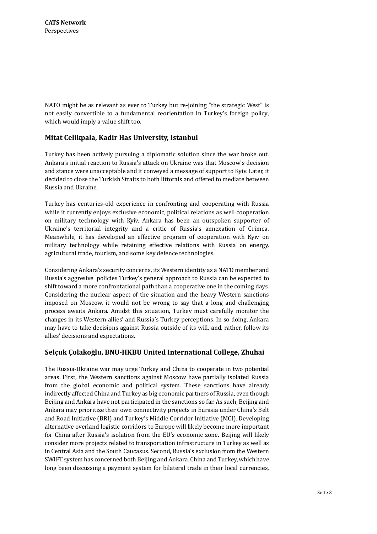NATO might be as relevant as ever to Turkey but re-joining "the strategic West" is not easily convertible to a fundamental reorientation in Turkey's foreign policy, which would imply a value shift too.

## **Mitat Celikpala, Kadir Has University, Istanbul**

Turkey has been actively pursuing a diplomatic solution since the war broke out. Ankara's initial reaction to Russia's attack on Ukraine was that Moscow's decision and stance were unacceptable and it conveyed a message of support to Kyiv. Later, it decided to close the Turkish Straits to both littorals and offered to mediate between Russia and Ukraine.

Turkey has centuries-old experience in confronting and cooperating with Russia while it currently enjoys exclusive economic, political relations as well cooperation on military technology with Kyiv. Ankara has been an outspoken supporter of Ukraine's territorial integrity and a critic of Russia's annexation of Crimea. Meanwhile, it has developed an effective program of cooperation with Kyiv on military technology while retaining effective relations with Russia on energy, agricultural trade, tourism, and some key defence technologies.

Considering Ankara's security concerns, its Western identity as a NATO member and Russia's aggresive policies Turkey's general approach to Russia can be expected to shift toward a more confrontational path than a cooperative one in the coming days. Considering the nuclear aspect of the situation and the heavy Western sanctions imposed on Moscow, it would not be wrong to say that a long and challenging process awaits Ankara. Amidst this situation, Turkey must carefully monitor the changes in its Western allies' and Russia's Turkey perceptions. In so doing, Ankara may have to take decisions against Russia outside of its will, and, rather, follow its allies' decisions and expectations.

## **Selçuk Çolakoğlu, BNU-HKBU United International College, Zhuhai**

The Russia-Ukraine war may urge Turkey and China to cooperate in two potential areas. First, the Western sanctions against Moscow have partially isolated Russia from the global economic and political system. These sanctions have already indirectly affected China and Turkey as big economic partners of Russia, even though Beijing and Ankara have not participated in the sanctions so far. As such, Beijing and Ankara may prioritize their own connectivity projects in Eurasia under China's Belt and Road Initiative (BRI) and Turkey's Middle Corridor Initiative (MCI). Developing alternative overland logistic corridors to Europe will likely become more important for China after Russia's isolation from the EU's economic zone. Beijing will likely consider more projects related to transportation infrastructure in Turkey as well as in Central Asia and the South Caucasus. Second, Russia's exclusion from the Western SWIFT system has concerned both Beijing and Ankara. China and Turkey, which have long been discussing a payment system for bilateral trade in their local currencies,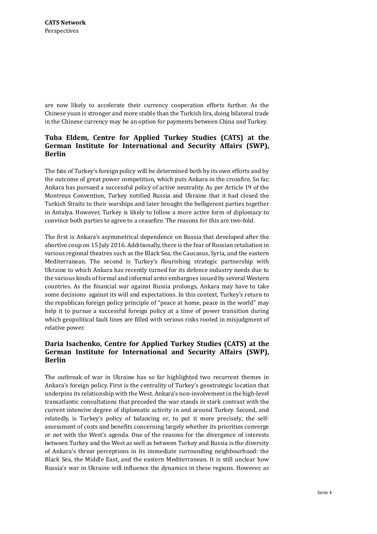are now likely to accelerate their currency cooperation efforts further. As the Chinese yuan is stronger and more stable than the Turkish lira, doing bilateral trade in the Chinese currency may be an option for payments between China and Turkey.

#### **Tuba Eldem, Centre for Applied Turkey Studies (CATS) at the German Institute for International and Security Affairs (SWP), Berlin**

The fate of Turkey's foreign policy will be determined both by its own efforts and by the outcome of great power competition, which puts Ankara in the crossfire. So far, Ankara has pursued a successful policy of active neutrality. As per Article 19 of the Montreux Convention, Turkey notified Russia and Ukraine that it had closed the Turkish Straits to their warships and later brought the belligerent parties together in Antalya. However, Turkey is likely to follow a more active form of diplomacy to convince both parties to agree to a ceasefire. The reasons for this are two-fold.

The first is Ankara's asymmetrical dependence on Russia that developed after the abortive coup on 15 July 2016. Additionally, there is the fear of Russian retaliation in various regional theatres such as the Black Sea, the Caucasus, Syria, and the eastern Mediterranean. The second is Turkey's flourishing strategic partnership with Ukraine to which Ankara has recently turned for its defence industry needs due to the various kinds of formal and informal arms embargoes issued by several Western countries. As the financial war against Russia prolongs, Ankara may have to take some decisions against its will and expectations. In this context, Turkey's return to the republican foreign policy principle of "peace at home, peace in the world" may help it to pursue a successful foreign policy at a time of power transition during which geopolitical fault lines are filled with serious risks rooted in misjudgment of relative power.

## **Daria Isachenko, Centre for Applied Turkey Studies (CATS) at the German Institute for International and Security Affairs (SWP), Berlin**

The outbreak of war in Ukraine has so far highlighted two recurrent themes in Ankara's foreign policy. First is the centrality of Turkey's geostrategic location that underpins its relationship with the West. Ankara's non-involvement in the high-level transatlantic consultations that preceded the war stands in stark contrast with the current intensive degree of diplomatic activity in and around Turkey. Second, and relatedly, is Turkey's policy of balancing or, to put it more precisely, the selfassessment of costs and benefits concerning largely whether its priorities converge or not with the West's agenda. One of the reasons for the divergence of interests between Turkey and the West as well as between Turkey and Russia is the diversity of Ankara's threat perceptions in its immediate surrounding neighbourhood: the Black Sea, the Middle East, and the eastern Mediterranean. It is still unclear how Russia's war in Ukraine will influence the dynamics in these regions. However, as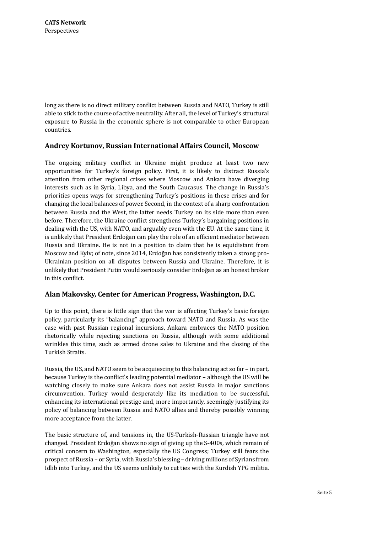long as there is no direct military conflict between Russia and NATO, Turkey is still able to stick to the course of active neutrality. After all, the level of Turkey's structural exposure to Russia in the economic sphere is not comparable to other European countries.

#### **Andrey Kortunov, Russian International Affairs Council, Moscow**

The ongoing military conflict in Ukraine might produce at least two new opportunities for Turkey's foreign policy. First, it is likely to distract Russia's attention from other regional crises where Moscow and Ankara have diverging interests such as in Syria, Libya, and the South Caucasus. The change in Russia's priorities opens ways for strengthening Turkey's positions in these crises and for changing the local balances of power. Second, in the context of a sharp confrontation between Russia and the West, the latter needs Turkey on its side more than even before. Therefore, the Ukraine conflict strengthens Turkey's bargaining positions in dealing with the US, with NATO, and arguably even with the EU. At the same time, it is unlikely that President Erdoğan can play the role of an efficient mediator between Russia and Ukraine. He is not in a position to claim that he is equidistant from Moscow and Kyiv; of note, since 2014, Erdoğan has consistently taken a strong pro-Ukrainian position on all disputes between Russia and Ukraine. Therefore, it is unlikely that President Putin would seriously consider Erdoğan as an honest broker in this conflict.

## **Alan Makovsky, Center for American Progress, Washington, D.C.**

Up to this point, there is little sign that the war is affecting Turkey's basic foreign policy, particularly its "balancing" approach toward NATO and Russia. As was the case with past Russian regional incursions, Ankara embraces the NATO position rhetorically while rejecting sanctions on Russia, although with some additional wrinkles this time, such as armed drone sales to Ukraine and the closing of the Turkish Straits.

Russia, the US, and NATO seem to be acquiescing to this balancing act so far – in part, because Turkey is the conflict's leading potential mediator – although the US will be watching closely to make sure Ankara does not assist Russia in major sanctions circumvention. Turkey would desperately like its mediation to be successful, enhancing its international prestige and, more importantly, seemingly justifying its policy of balancing between Russia and NATO allies and thereby possibly winning more acceptance from the latter.

The basic structure of, and tensions in, the US-Turkish-Russian triangle have not changed. President Erdoğan shows no sign of giving up the S-400s, which remain of critical concern to Washington, especially the US Congress; Turkey still fears the prospect of Russia – or Syria, with Russia's blessing – driving millions of Syrians from Idlib into Turkey, and the US seems unlikely to cut ties with the Kurdish YPG militia.